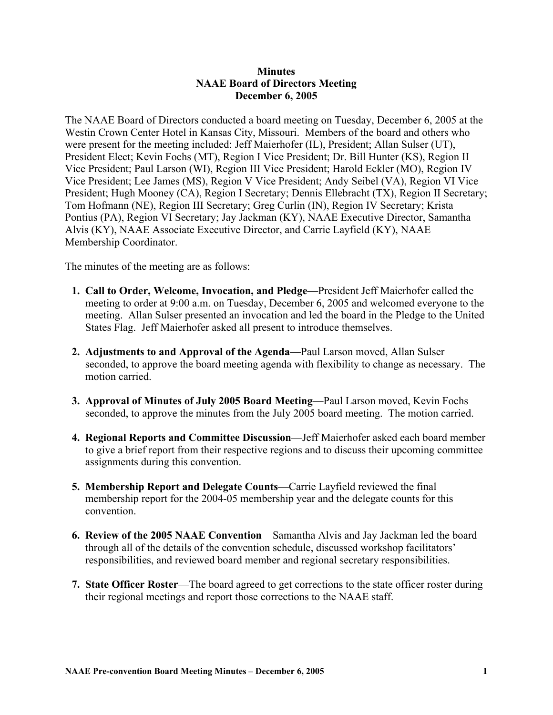## **Minutes NAAE Board of Directors Meeting December 6, 2005**

The NAAE Board of Directors conducted a board meeting on Tuesday, December 6, 2005 at the Westin Crown Center Hotel in Kansas City, Missouri. Members of the board and others who were present for the meeting included: Jeff Maierhofer (IL), President; Allan Sulser (UT), President Elect; Kevin Fochs (MT), Region I Vice President; Dr. Bill Hunter (KS), Region II Vice President; Paul Larson (WI), Region III Vice President; Harold Eckler (MO), Region IV Vice President; Lee James (MS), Region V Vice President; Andy Seibel (VA), Region VI Vice President; Hugh Mooney (CA), Region I Secretary; Dennis Ellebracht (TX), Region II Secretary; Tom Hofmann (NE), Region III Secretary; Greg Curlin (IN), Region IV Secretary; Krista Pontius (PA), Region VI Secretary; Jay Jackman (KY), NAAE Executive Director, Samantha Alvis (KY), NAAE Associate Executive Director, and Carrie Layfield (KY), NAAE Membership Coordinator.

The minutes of the meeting are as follows:

- **1. Call to Order, Welcome, Invocation, and Pledge**—President Jeff Maierhofer called the meeting to order at 9:00 a.m. on Tuesday, December 6, 2005 and welcomed everyone to the meeting. Allan Sulser presented an invocation and led the board in the Pledge to the United States Flag. Jeff Maierhofer asked all present to introduce themselves.
- **2. Adjustments to and Approval of the Agenda**—Paul Larson moved, Allan Sulser seconded, to approve the board meeting agenda with flexibility to change as necessary. The motion carried.
- **3. Approval of Minutes of July 2005 Board Meeting**—Paul Larson moved, Kevin Fochs seconded, to approve the minutes from the July 2005 board meeting. The motion carried.
- **4. Regional Reports and Committee Discussion**—Jeff Maierhofer asked each board member to give a brief report from their respective regions and to discuss their upcoming committee assignments during this convention.
- **5. Membership Report and Delegate Counts**—Carrie Layfield reviewed the final membership report for the 2004-05 membership year and the delegate counts for this convention.
- **6. Review of the 2005 NAAE Convention**—Samantha Alvis and Jay Jackman led the board through all of the details of the convention schedule, discussed workshop facilitators' responsibilities, and reviewed board member and regional secretary responsibilities.
- **7. State Officer Roster**—The board agreed to get corrections to the state officer roster during their regional meetings and report those corrections to the NAAE staff.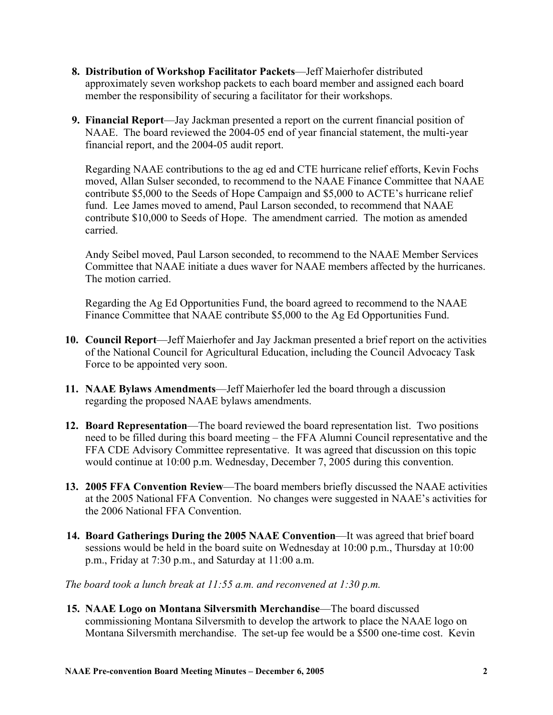- **8. Distribution of Workshop Facilitator Packets**—Jeff Maierhofer distributed approximately seven workshop packets to each board member and assigned each board member the responsibility of securing a facilitator for their workshops.
- **9. Financial Report**—Jay Jackman presented a report on the current financial position of NAAE. The board reviewed the 2004-05 end of year financial statement, the multi-year financial report, and the 2004-05 audit report.

Regarding NAAE contributions to the ag ed and CTE hurricane relief efforts, Kevin Fochs moved, Allan Sulser seconded, to recommend to the NAAE Finance Committee that NAAE contribute \$5,000 to the Seeds of Hope Campaign and \$5,000 to ACTE's hurricane relief fund. Lee James moved to amend, Paul Larson seconded, to recommend that NAAE contribute \$10,000 to Seeds of Hope. The amendment carried. The motion as amended carried.

Andy Seibel moved, Paul Larson seconded, to recommend to the NAAE Member Services Committee that NAAE initiate a dues waver for NAAE members affected by the hurricanes. The motion carried.

Regarding the Ag Ed Opportunities Fund, the board agreed to recommend to the NAAE Finance Committee that NAAE contribute \$5,000 to the Ag Ed Opportunities Fund.

- **10. Council Report**—Jeff Maierhofer and Jay Jackman presented a brief report on the activities of the National Council for Agricultural Education, including the Council Advocacy Task Force to be appointed very soon.
- **11. NAAE Bylaws Amendments**—Jeff Maierhofer led the board through a discussion regarding the proposed NAAE bylaws amendments.
- **12. Board Representation**—The board reviewed the board representation list. Two positions need to be filled during this board meeting – the FFA Alumni Council representative and the FFA CDE Advisory Committee representative. It was agreed that discussion on this topic would continue at 10:00 p.m. Wednesday, December 7, 2005 during this convention.
- **13. 2005 FFA Convention Review**—The board members briefly discussed the NAAE activities at the 2005 National FFA Convention. No changes were suggested in NAAE's activities for the 2006 National FFA Convention.
- **14. Board Gatherings During the 2005 NAAE Convention**—It was agreed that brief board sessions would be held in the board suite on Wednesday at 10:00 p.m., Thursday at 10:00 p.m., Friday at 7:30 p.m., and Saturday at 11:00 a.m.

*The board took a lunch break at 11:55 a.m. and reconvened at 1:30 p.m.* 

**15. NAAE Logo on Montana Silversmith Merchandise**—The board discussed commissioning Montana Silversmith to develop the artwork to place the NAAE logo on Montana Silversmith merchandise. The set-up fee would be a \$500 one-time cost. Kevin